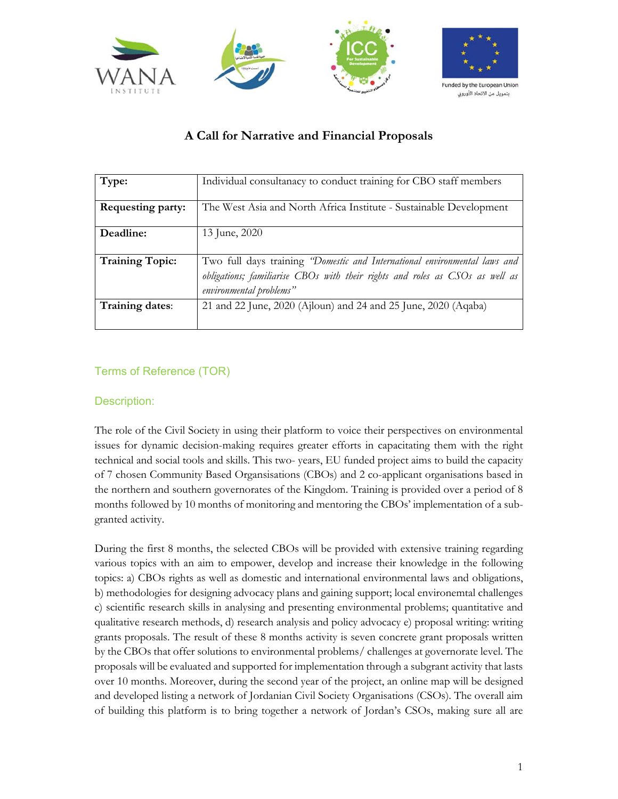

# **A Call for Narrative and Financial Proposals**

| Type:                  | Individual consultanacy to conduct training for CBO staff members            |
|------------------------|------------------------------------------------------------------------------|
|                        |                                                                              |
| Requesting party:      | The West Asia and North Africa Institute - Sustainable Development           |
|                        |                                                                              |
| Deadline:              | 13 June, 2020                                                                |
|                        |                                                                              |
| <b>Training Topic:</b> | Two full days training "Domestic and International environmental laws and    |
|                        | obligations; familiarise CBOs with their rights and roles as CSOs as well as |
|                        | environmental problems"                                                      |
| Training dates:        | 21 and 22 June, 2020 (Ajloun) and 24 and 25 June, 2020 (Aqaba)               |
|                        |                                                                              |

## Terms of Reference (TOR)

## Description:

The role of the Civil Society in using their platform to voice their perspectives on environmental issues for dynamic decision-making requires greater efforts in capacitating them with the right technical and social tools and skills. This two- years, EU funded project aims to build the capacity of 7 chosen Community Based Organsisations (CBOs) and 2 co-applicant organisations based in the northern and southern governorates of the Kingdom. Training is provided over a period of 8 months followed by 10 months of monitoring and mentoring the CBOs' implementation of a subgranted activity.

During the first 8 months, the selected CBOs will be provided with extensive training regarding various topics with an aim to empower, develop and increase their knowledge in the following topics: a) CBOs rights as well as domestic and international environmental laws and obligations, b) methodologies for designing advocacy plans and gaining support; local environemtal challenges c) scientific research skills in analysing and presenting environmental problems; quantitative and qualitative research methods, d) research analysis and policy advocacy e) proposal writing: writing grants proposals. The result of these 8 months activity is seven concrete grant proposals written by the CBOs that offer solutions to environmental problems/ challenges at governorate level. The proposals will be evaluated and supported for implementation through a subgrant activity that lasts over 10 months. Moreover, during the second year of the project, an online map will be designed and developed listing a network of Jordanian Civil Society Organisations (CSOs). The overall aim of building this platform is to bring together a network of Jordan's CSOs, making sure all are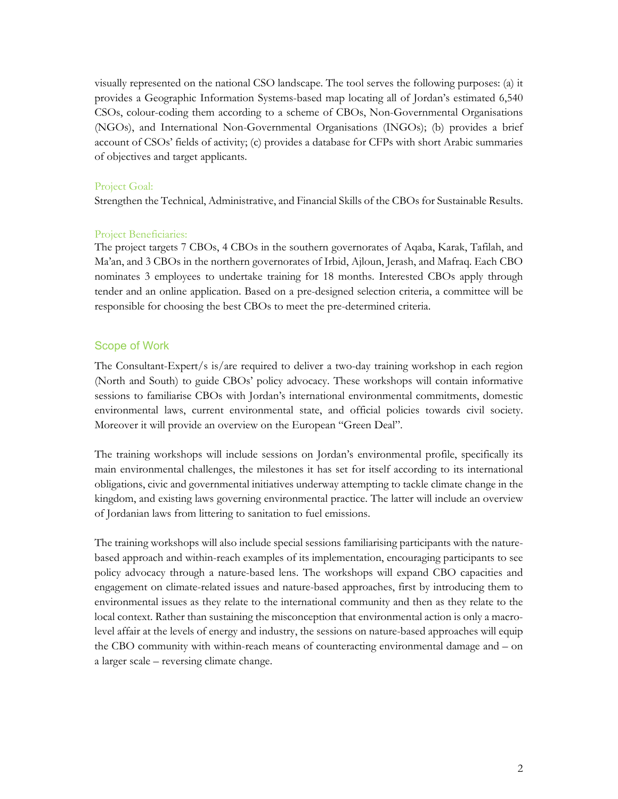visually represented on the national CSO landscape. The tool serves the following purposes: (a) it provides a Geographic Information Systems-based map locating all of Jordan's estimated 6,540 CSOs, colour-coding them according to a scheme of CBOs, Non-Governmental Organisations (NGOs), and International Non-Governmental Organisations (INGOs); (b) provides a brief account of CSOs' fields of activity; (c) provides a database for CFPs with short Arabic summaries of objectives and target applicants.

#### Project Goal:

Strengthen the Technical, Administrative, and Financial Skills of the CBOs for Sustainable Results.

#### Project Beneficiaries:

The project targets 7 CBOs, 4 CBOs in the southern governorates of Aqaba, Karak, Tafilah, and Ma'an, and 3 CBOs in the northern governorates of Irbid, Ajloun, Jerash, and Mafraq. Each CBO nominates 3 employees to undertake training for 18 months. Interested CBOs apply through tender and an online application. Based on a pre-designed selection criteria, a committee will be responsible for choosing the best CBOs to meet the pre-determined criteria.

#### Scope of Work

The Consultant-Expert/s is/are required to deliver a two-day training workshop in each region (North and South) to guide CBOs' policy advocacy. These workshops will contain informative sessions to familiarise CBOs with Jordan's international environmental commitments, domestic environmental laws, current environmental state, and official policies towards civil society. Moreover it will provide an overview on the European "Green Deal".

The training workshops will include sessions on Jordan's environmental profile, specifically its main environmental challenges, the milestones it has set for itself according to its international obligations, civic and governmental initiatives underway attempting to tackle climate change in the kingdom, and existing laws governing environmental practice. The latter will include an overview of Jordanian laws from littering to sanitation to fuel emissions.

The training workshops will also include special sessions familiarising participants with the naturebased approach and within-reach examples of its implementation, encouraging participants to see policy advocacy through a nature-based lens. The workshops will expand CBO capacities and engagement on climate-related issues and nature-based approaches, first by introducing them to environmental issues as they relate to the international community and then as they relate to the local context. Rather than sustaining the misconception that environmental action is only a macrolevel affair at the levels of energy and industry, the sessions on nature-based approaches will equip the CBO community with within-reach means of counteracting environmental damage and – on a larger scale – reversing climate change.